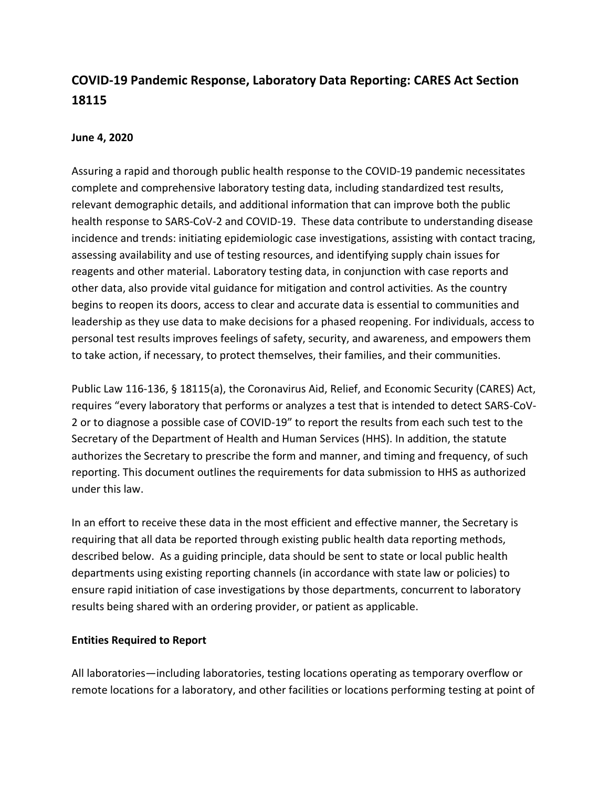# **COVID-19 Pandemic Response, Laboratory Data Reporting: CARES Act Section 18115**

#### **June 4, 2020**

Assuring a rapid and thorough public health response to the COVID-19 pandemic necessitates complete and comprehensive laboratory testing data, including standardized test results, relevant demographic details, and additional information that can improve both the public health response to SARS-CoV-2 and COVID-19. These data contribute to understanding disease incidence and trends: initiating epidemiologic case investigations, assisting with contact tracing, assessing availability and use of testing resources, and identifying supply chain issues for reagents and other material. Laboratory testing data, in conjunction with case reports and other data, also provide vital guidance for mitigation and control activities. As the country begins to reopen its doors, access to clear and accurate data is essential to communities and leadership as they use data to make decisions for a phased reopening. For individuals, access to personal test results improves feelings of safety, security, and awareness, and empowers them to take action, if necessary, to protect themselves, their families, and their communities.

Public Law 116-136, § 18115(a), the Coronavirus Aid, Relief, and Economic Security (CARES) Act, requires "every laboratory that performs or analyzes a test that is intended to detect SARS-CoV-2 or to diagnose a possible case of COVID-19" to report the results from each such test to the Secretary of the Department of Health and Human Services (HHS). In addition, the statute authorizes the Secretary to prescribe the form and manner, and timing and frequency, of such reporting. This document outlines the requirements for data submission to HHS as authorized under this law.

In an effort to receive these data in the most efficient and effective manner, the Secretary is requiring that all data be reported through existing public health data reporting methods, described below. As a guiding principle, data should be sent to state or local public health departments using existing reporting channels (in accordance with state law or policies) to ensure rapid initiation of case investigations by those departments, concurrent to laboratory results being shared with an ordering provider, or patient as applicable.

#### **Entities Required to Report**

All laboratories—including laboratories, testing locations operating as temporary overflow or remote locations for a laboratory, and other facilities or locations performing testing at point of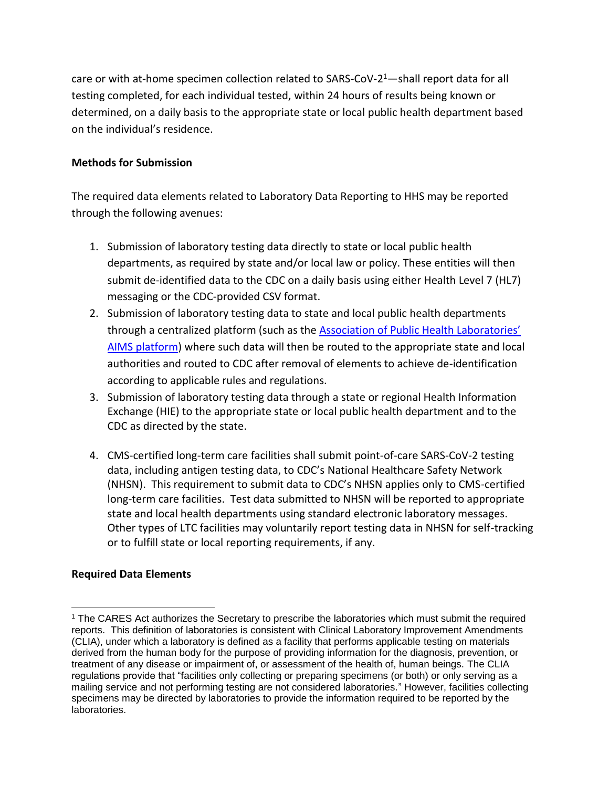care or with at-home specimen collection related to SARS-CoV-2<sup>1</sup>—shall report data for all testing completed, for each individual tested, within 24 hours of results being known or determined, on a daily basis to the appropriate state or local public health department based on the individual's residence.

## **Methods for Submission**

The required data elements related to Laboratory Data Reporting to HHS may be reported through the following avenues:

- 1. Submission of laboratory testing data directly to state or local public health departments, as required by state and/or local law or policy. These entities will then submit de-identified data to the CDC on a daily basis using either Health Level 7 (HL7) messaging or the CDC-provided CSV format.
- 2. Submission of laboratory testing data to state and local public health departments through a centralized platform (such as the [Association of Public Health Laboratories'](https://www.aphl.org/programs/preparedness/Crisis-Management/COVID-19-Response/Pages/default.aspx)  [AIMS platform\)](https://www.aphl.org/programs/preparedness/Crisis-Management/COVID-19-Response/Pages/default.aspx) where such data will then be routed to the appropriate state and local authorities and routed to CDC after removal of elements to achieve de-identification according to applicable rules and regulations.
- 3. Submission of laboratory testing data through a state or regional Health Information Exchange (HIE) to the appropriate state or local public health department and to the CDC as directed by the state.
- 4. CMS-certified long-term care facilities shall submit point-of-care SARS-CoV-2 testing data, including antigen testing data, to CDC's National Healthcare Safety Network (NHSN).  This requirement to submit data to CDC's NHSN applies only to CMS-certified long-term care facilities. Test data submitted to NHSN will be reported to appropriate state and local health departments using standard electronic laboratory messages. Other types of LTC facilities may voluntarily report testing data in NHSN for self-tracking or to fulfill state or local reporting requirements, if any.

# **Required Data Elements**

 $\overline{a}$ 

<sup>1</sup> The CARES Act authorizes the Secretary to prescribe the laboratories which must submit the required reports. This definition of laboratories is consistent with Clinical Laboratory Improvement Amendments (CLIA), under which a laboratory is defined as a facility that performs applicable testing on materials derived from the human body for the purpose of providing information for the diagnosis, prevention, or treatment of any disease or impairment of, or assessment of the health of, human beings. The CLIA regulations provide that "facilities only collecting or preparing specimens (or both) or only serving as a mailing service and not performing testing are not considered laboratories." However, facilities collecting specimens may be directed by laboratories to provide the information required to be reported by the laboratories.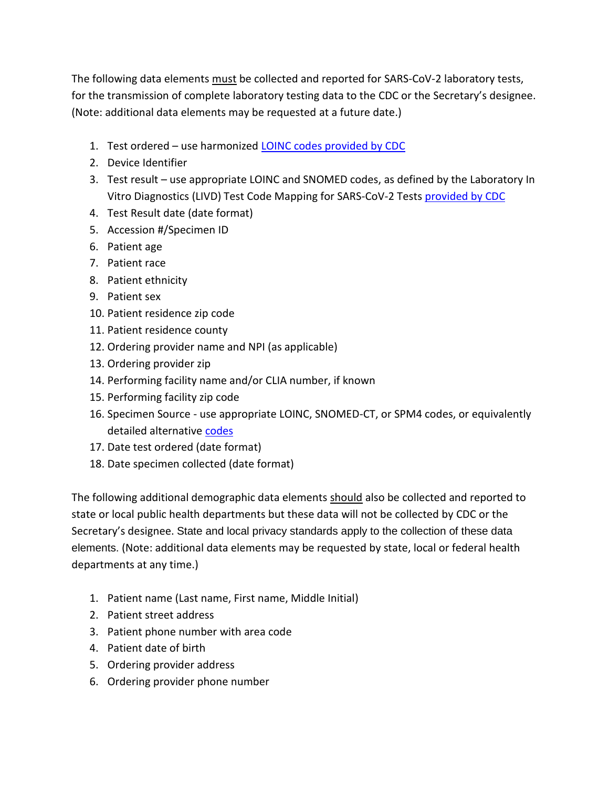The following data elements must be collected and reported for SARS-CoV-2 laboratory tests, for the transmission of complete laboratory testing data to the CDC or the Secretary's designee. (Note: additional data elements may be requested at a future date.)

- 1. Test ordered use harmonized **LOINC codes [provided by CDC](https://www.cdc.gov/csels/dls/sars-cov-2-livd-codes.html)**
- 2. Device Identifier
- 3. Test result use appropriate LOINC and SNOMED codes, as defined by the Laboratory In Vitro Diagnostics (LIVD) Test Code Mapping for SARS-CoV-2 Tests [provided by CDC](https://www.cdc.gov/csels/dls/sars-cov-2-livd-codes.html)
- 4. Test Result date (date format)
- 5. Accession #/Specimen ID
- 6. Patient age
- 7. Patient race
- 8. Patient ethnicity
- 9. Patient sex
- 10. Patient residence zip code
- 11. Patient residence county
- 12. Ordering provider name and NPI (as applicable)
- 13. Ordering provider zip
- 14. Performing facility name and/or CLIA number, if known
- 15. Performing facility zip code
- 16. Specimen Source use appropriate LOINC, SNOMED-CT, or SPM4 codes, or equivalently detailed alternative [codes](https://www.cdc.gov/csels/dls/sars-cov-2-livd-codes.html)
- 17. Date test ordered (date format)
- 18. Date specimen collected (date format)

The following additional demographic data elements should also be collected and reported to state or local public health departments but these data will not be collected by CDC or the Secretary's designee. State and local privacy standards apply to the collection of these data elements. (Note: additional data elements may be requested by state, local or federal health departments at any time.)

- 1. Patient name (Last name, First name, Middle Initial)
- 2. Patient street address
- 3. Patient phone number with area code
- 4. Patient date of birth
- 5. Ordering provider address
- 6. Ordering provider phone number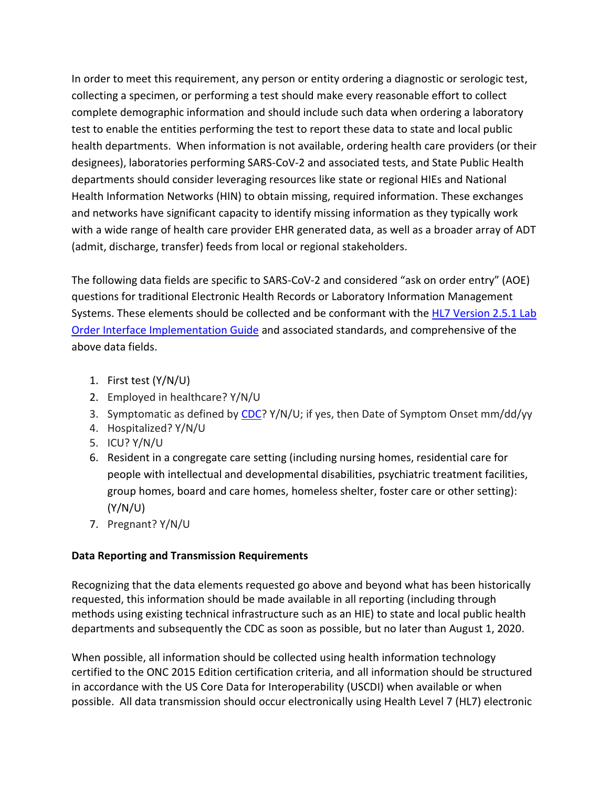In order to meet this requirement, any person or entity ordering a diagnostic or serologic test, collecting a specimen, or performing a test should make every reasonable effort to collect complete demographic information and should include such data when ordering a laboratory test to enable the entities performing the test to report these data to state and local public health departments. When information is not available, ordering health care providers (or their designees), laboratories performing SARS-CoV-2 and associated tests, and State Public Health departments should consider leveraging resources like state or regional HIEs and National Health Information Networks (HIN) to obtain missing, required information. These exchanges and networks have significant capacity to identify missing information as they typically work with a wide range of health care provider EHR generated data, as well as a broader array of ADT (admit, discharge, transfer) feeds from local or regional stakeholders.

The following data fields are specific to SARS-CoV-2 and considered "ask on order entry" (AOE) questions for traditional Electronic Health Records or Laboratory Information Management Systems. These elements should be collected and be conformant with the [HL7 Version 2.5.1 Lab](https://www.hl7.org/implement/standards/product_brief.cfm?product_id=152)  [Order Interface Implementation Guide](https://www.hl7.org/implement/standards/product_brief.cfm?product_id=152) and associated standards, and comprehensive of the above data fields.

- 1. First test (Y/N/U)
- 2. Employed in healthcare? Y/N/U
- 3. Symptomatic as defined by [CDC?](https://www.cdc.gov/coronavirus/2019-ncov/symptoms-testing/symptoms.html?CDC_AA_refVal=https%3A%2F%2Fwww.cdc.gov%2Fcoronavirus%2F2019-ncov%2Fabout%2Fsymptoms.html) Y/N/U; if yes, then Date of Symptom Onset mm/dd/yy
- 4. Hospitalized? Y/N/U
- 5. ICU? Y/N/U
- 6. Resident in a congregate care setting (including nursing homes, residential care for people with intellectual and developmental disabilities, psychiatric treatment facilities, group homes, board and care homes, homeless shelter, foster care or other setting): (Y/N/U)
- 7. Pregnant? Y/N/U

# **Data Reporting and Transmission Requirements**

Recognizing that the data elements requested go above and beyond what has been historically requested, this information should be made available in all reporting (including through methods using existing technical infrastructure such as an HIE) to state and local public health departments and subsequently the CDC as soon as possible, but no later than August 1, 2020.

When possible, all information should be collected using health information technology certified to the ONC 2015 Edition certification criteria, and all information should be structured in accordance with the US Core Data for Interoperability (USCDI) when available or when possible. All data transmission should occur electronically using Health Level 7 (HL7) electronic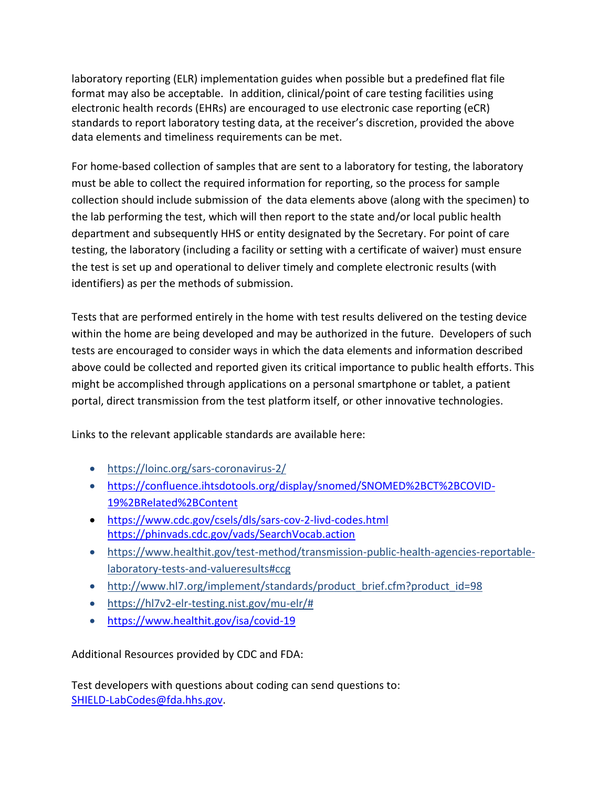laboratory reporting (ELR) implementation guides when possible but a predefined flat file format may also be acceptable. In addition, clinical/point of care testing facilities using electronic health records (EHRs) are encouraged to use electronic case reporting (eCR) standards to report laboratory testing data, at the receiver's discretion, provided the above data elements and timeliness requirements can be met.

For home-based collection of samples that are sent to a laboratory for testing, the laboratory must be able to collect the required information for reporting, so the process for sample collection should include submission of the data elements above (along with the specimen) to the lab performing the test, which will then report to the state and/or local public health department and subsequently HHS or entity designated by the Secretary. For point of care testing, the laboratory (including a facility or setting with a certificate of waiver) must ensure the test is set up and operational to deliver timely and complete electronic results (with identifiers) as per the methods of submission.

Tests that are performed entirely in the home with test results delivered on the testing device within the home are being developed and may be authorized in the future. Developers of such tests are encouraged to consider ways in which the data elements and information described above could be collected and reported given its critical importance to public health efforts. This might be accomplished through applications on a personal smartphone or tablet, a patient portal, direct transmission from the test platform itself, or other innovative technologies.

Links to the relevant applicable standards are available here:

- <https://loinc.org/sars-coronavirus-2/>
- [https://confluence.ihtsdotools.org/display/snomed/SNOMED%2BCT%2BCOVID-](https://confluence.ihtsdotools.org/display/snomed/SNOMED%2BCT%2BCOVID-19%2BRelated%2BContent)[19%2BRelated%2BContent](https://confluence.ihtsdotools.org/display/snomed/SNOMED%2BCT%2BCOVID-19%2BRelated%2BContent)
- <https://www.cdc.gov/csels/dls/sars-cov-2-livd-codes.html> <https://phinvads.cdc.gov/vads/SearchVocab.action>
- [https://www.healthit.gov/test-method/transmission-public-health-agencies-reportable](https://www.healthit.gov/test-method/transmission-public-health-agencies-reportable-laboratory-tests-and-valueresults#ccg)[laboratory-tests-and-valueresults#ccg](https://www.healthit.gov/test-method/transmission-public-health-agencies-reportable-laboratory-tests-and-valueresults#ccg)
- http://www.hl7.org/implement/standards/product brief.cfm?product id=98
- [https://hl7v2-elr-testing.nist.gov/mu-elr/#](https://hl7v2-elr-testing.nist.gov/mu-elr/)
- <https://www.healthit.gov/isa/covid-19>

Additional Resources provided by CDC and FDA:

Test developers with questions about coding can send questions to: [SHIELD-LabCodes@fda.hhs.gov.](mailto:SHIELD-LabCodes@fda.hhs.gov)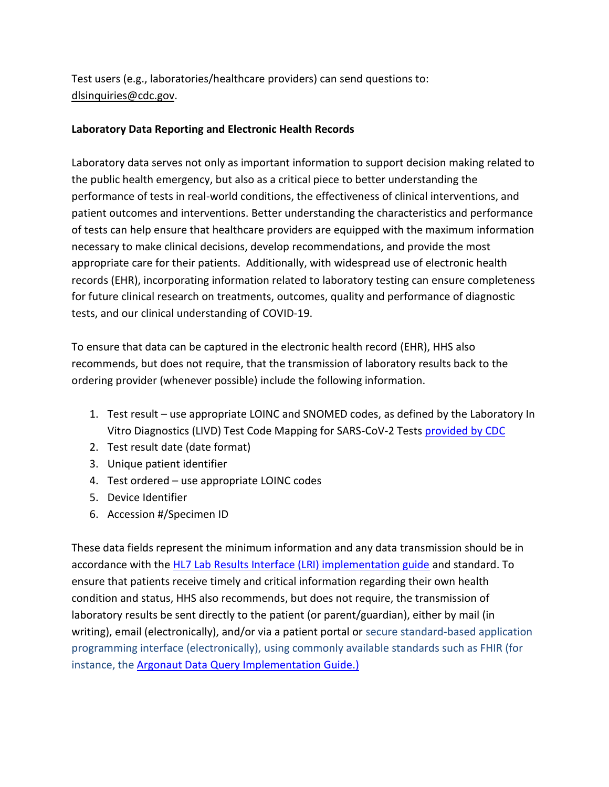Test users (e.g., laboratories/healthcare providers) can send questions to: [dlsinquiries@cdc.gov.](mailto:dlsinquiries@cdc.gov)

### **Laboratory Data Reporting and Electronic Health Records**

Laboratory data serves not only as important information to support decision making related to the public health emergency, but also as a critical piece to better understanding the performance of tests in real-world conditions, the effectiveness of clinical interventions, and patient outcomes and interventions. Better understanding the characteristics and performance of tests can help ensure that healthcare providers are equipped with the maximum information necessary to make clinical decisions, develop recommendations, and provide the most appropriate care for their patients. Additionally, with widespread use of electronic health records (EHR), incorporating information related to laboratory testing can ensure completeness for future clinical research on treatments, outcomes, quality and performance of diagnostic tests, and our clinical understanding of COVID-19.

To ensure that data can be captured in the electronic health record (EHR), HHS also recommends, but does not require, that the transmission of laboratory results back to the ordering provider (whenever possible) include the following information.

- 1. Test result use appropriate LOINC and SNOMED codes, as defined by the Laboratory In Vitro Diagnostics (LIVD) Test Code Mapping for SARS-CoV-2 Tests [provided by CDC](https://www.cdc.gov/csels/dls/sars-cov-2-livd-codes.html)
- 2. Test result date (date format)
- 3. Unique patient identifier
- 4. Test ordered use appropriate LOINC codes
- 5. Device Identifier
- 6. Accession #/Specimen ID

These data fields represent the minimum information and any data transmission should be in accordance with the [HL7 Lab Results Interface \(LRI\) implementation guide](https://www.hl7.org/implement/standards/product_brief.cfm?product_id=279) and standard. To ensure that patients receive timely and critical information regarding their own health condition and status, HHS also recommends, but does not require, the transmission of laboratory results be sent directly to the patient (or parent/guardian), either by mail (in writing), email (electronically), and/or via a patient portal or secure standard-based application programming interface (electronically), using commonly available standards such as FHIR (for instance, the [Argonaut Data Query Implementation Guide.\)](https://www.fhir.org/guides/argonaut/r2/)